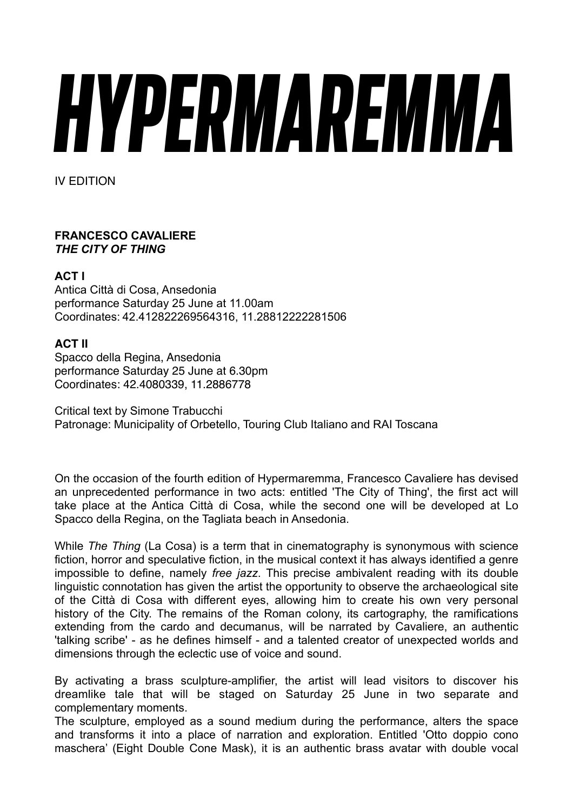# *HYPERMAREMMA*

IV EDITION

# **FRANCESCO CAVALIERE**  *THE CITY OF THING*

# **ACT I**

Antica Città di Cosa, Ansedonia performance Saturday 25 June at 11.00am Coordinates: 42.412822269564316, 11.28812222281506

# **ACT II**

Spacco della Regina, Ansedonia performance Saturday 25 June at 6.30pm Coordinates: 42.4080339, 11.2886778

Critical text by Simone Trabucchi Patronage: Municipality of Orbetello, Touring Club Italiano and RAI Toscana

On the occasion of the fourth edition of Hypermaremma, Francesco Cavaliere has devised an unprecedented performance in two acts: entitled 'The City of Thing', the first act will take place at the Antica Città di Cosa, while the second one will be developed at Lo Spacco della Regina, on the Tagliata beach in Ansedonia.

While *The Thing* (La Cosa) is a term that in cinematography is synonymous with science fiction, horror and speculative fiction, in the musical context it has always identified a genre impossible to define, namely *free jazz*. This precise ambivalent reading with its double linguistic connotation has given the artist the opportunity to observe the archaeological site of the Città di Cosa with different eyes, allowing him to create his own very personal history of the City. The remains of the Roman colony, its cartography, the ramifications extending from the cardo and decumanus, will be narrated by Cavaliere, an authentic 'talking scribe' - as he defines himself - and a talented creator of unexpected worlds and dimensions through the eclectic use of voice and sound.

By activating a brass sculpture-amplifier, the artist will lead visitors to discover his dreamlike tale that will be staged on Saturday 25 June in two separate and complementary moments.

The sculpture, employed as a sound medium during the performance, alters the space and transforms it into a place of narration and exploration. Entitled 'Otto doppio cono maschera' (Eight Double Cone Mask), it is an authentic brass avatar with double vocal